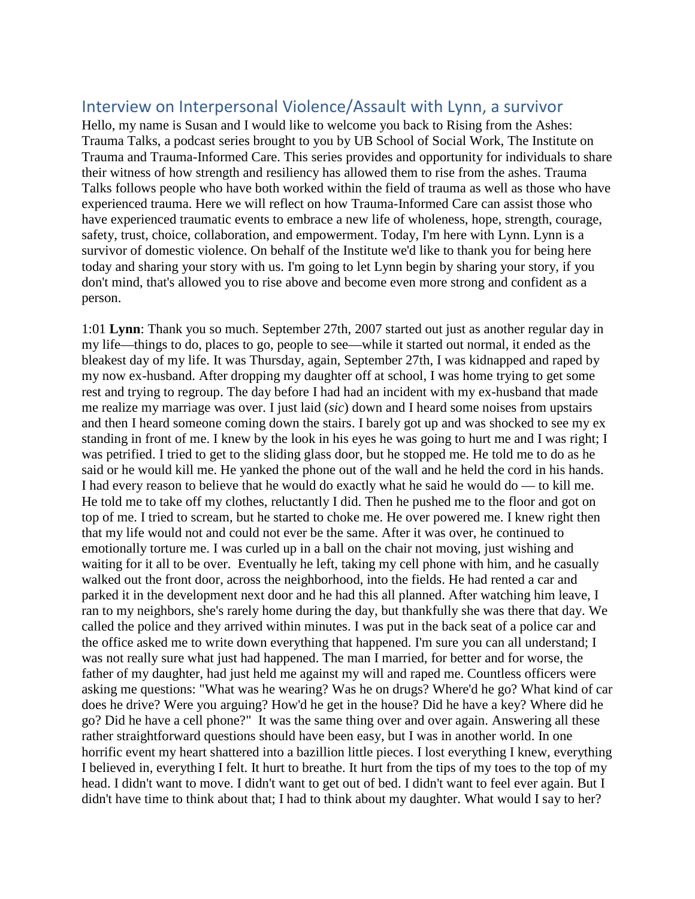# Interview on Interpersonal Violence/Assault with Lynn, a survivor

Hello, my name is Susan and I would like to welcome you back to Rising from the Ashes: Trauma Talks, a podcast series brought to you by UB School of Social Work, The Institute on Trauma and Trauma-Informed Care. This series provides and opportunity for individuals to share their witness of how strength and resiliency has allowed them to rise from the ashes. Trauma Talks follows people who have both worked within the field of trauma as well as those who have experienced trauma. Here we will reflect on how Trauma-Informed Care can assist those who have experienced traumatic events to embrace a new life of wholeness, hope, strength, courage, safety, trust, choice, collaboration, and empowerment. Today, I'm here with Lynn. Lynn is a survivor of domestic violence. On behalf of the Institute we'd like to thank you for being here today and sharing your story with us. I'm going to let Lynn begin by sharing your story, if you don't mind, that's allowed you to rise above and become even more strong and confident as a person.

1:01 **Lynn**: Thank you so much. September 27th, 2007 started out just as another regular day in my life—things to do, places to go, people to see—while it started out normal, it ended as the bleakest day of my life. It was Thursday, again, September 27th, I was kidnapped and raped by my now ex-husband. After dropping my daughter off at school, I was home trying to get some rest and trying to regroup. The day before I had had an incident with my ex-husband that made me realize my marriage was over. I just laid (*sic*) down and I heard some noises from upstairs and then I heard someone coming down the stairs. I barely got up and was shocked to see my ex standing in front of me. I knew by the look in his eyes he was going to hurt me and I was right; I was petrified. I tried to get to the sliding glass door, but he stopped me. He told me to do as he said or he would kill me. He yanked the phone out of the wall and he held the cord in his hands. I had every reason to believe that he would do exactly what he said he would do — to kill me. He told me to take off my clothes, reluctantly I did. Then he pushed me to the floor and got on top of me. I tried to scream, but he started to choke me. He over powered me. I knew right then that my life would not and could not ever be the same. After it was over, he continued to emotionally torture me. I was curled up in a ball on the chair not moving, just wishing and waiting for it all to be over. Eventually he left, taking my cell phone with him, and he casually walked out the front door, across the neighborhood, into the fields. He had rented a car and parked it in the development next door and he had this all planned. After watching him leave, I ran to my neighbors, she's rarely home during the day, but thankfully she was there that day. We called the police and they arrived within minutes. I was put in the back seat of a police car and the office asked me to write down everything that happened. I'm sure you can all understand; I was not really sure what just had happened. The man I married, for better and for worse, the father of my daughter, had just held me against my will and raped me. Countless officers were asking me questions: "What was he wearing? Was he on drugs? Where'd he go? What kind of car does he drive? Were you arguing? How'd he get in the house? Did he have a key? Where did he go? Did he have a cell phone?" It was the same thing over and over again. Answering all these rather straightforward questions should have been easy, but I was in another world. In one horrific event my heart shattered into a bazillion little pieces. I lost everything I knew, everything I believed in, everything I felt. It hurt to breathe. It hurt from the tips of my toes to the top of my head. I didn't want to move. I didn't want to get out of bed. I didn't want to feel ever again. But I didn't have time to think about that; I had to think about my daughter. What would I say to her?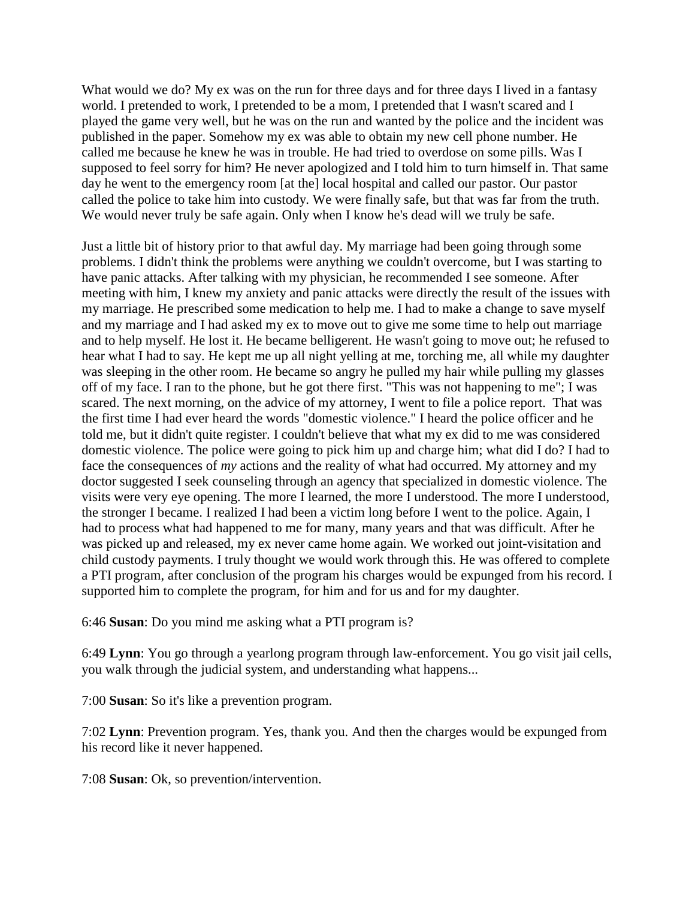What would we do? My ex was on the run for three days and for three days I lived in a fantasy world. I pretended to work, I pretended to be a mom, I pretended that I wasn't scared and I played the game very well, but he was on the run and wanted by the police and the incident was published in the paper. Somehow my ex was able to obtain my new cell phone number. He called me because he knew he was in trouble. He had tried to overdose on some pills. Was I supposed to feel sorry for him? He never apologized and I told him to turn himself in. That same day he went to the emergency room [at the] local hospital and called our pastor. Our pastor called the police to take him into custody. We were finally safe, but that was far from the truth. We would never truly be safe again. Only when I know he's dead will we truly be safe.

Just a little bit of history prior to that awful day. My marriage had been going through some problems. I didn't think the problems were anything we couldn't overcome, but I was starting to have panic attacks. After talking with my physician, he recommended I see someone. After meeting with him, I knew my anxiety and panic attacks were directly the result of the issues with my marriage. He prescribed some medication to help me. I had to make a change to save myself and my marriage and I had asked my ex to move out to give me some time to help out marriage and to help myself. He lost it. He became belligerent. He wasn't going to move out; he refused to hear what I had to say. He kept me up all night yelling at me, torching me, all while my daughter was sleeping in the other room. He became so angry he pulled my hair while pulling my glasses off of my face. I ran to the phone, but he got there first. "This was not happening to me"; I was scared. The next morning, on the advice of my attorney, I went to file a police report. That was the first time I had ever heard the words "domestic violence." I heard the police officer and he told me, but it didn't quite register. I couldn't believe that what my ex did to me was considered domestic violence. The police were going to pick him up and charge him; what did I do? I had to face the consequences of *my* actions and the reality of what had occurred. My attorney and my doctor suggested I seek counseling through an agency that specialized in domestic violence. The visits were very eye opening. The more I learned, the more I understood. The more I understood, the stronger I became. I realized I had been a victim long before I went to the police. Again, I had to process what had happened to me for many, many years and that was difficult. After he was picked up and released, my ex never came home again. We worked out joint-visitation and child custody payments. I truly thought we would work through this. He was offered to complete a PTI program, after conclusion of the program his charges would be expunged from his record. I supported him to complete the program, for him and for us and for my daughter.

6:46 **Susan**: Do you mind me asking what a PTI program is?

6:49 **Lynn**: You go through a yearlong program through law-enforcement. You go visit jail cells, you walk through the judicial system, and understanding what happens...

7:00 **Susan**: So it's like a prevention program.

7:02 **Lynn**: Prevention program. Yes, thank you. And then the charges would be expunged from his record like it never happened.

7:08 **Susan**: Ok, so prevention/intervention.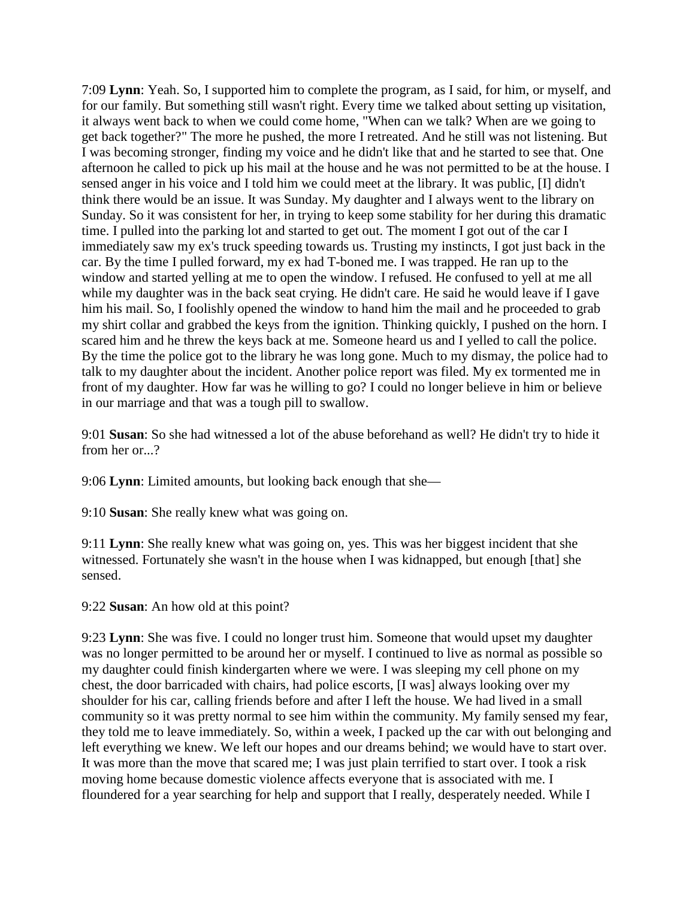7:09 **Lynn**: Yeah. So, I supported him to complete the program, as I said, for him, or myself, and for our family. But something still wasn't right. Every time we talked about setting up visitation, it always went back to when we could come home, "When can we talk? When are we going to get back together?" The more he pushed, the more I retreated. And he still was not listening. But I was becoming stronger, finding my voice and he didn't like that and he started to see that. One afternoon he called to pick up his mail at the house and he was not permitted to be at the house. I sensed anger in his voice and I told him we could meet at the library. It was public, [I] didn't think there would be an issue. It was Sunday. My daughter and I always went to the library on Sunday. So it was consistent for her, in trying to keep some stability for her during this dramatic time. I pulled into the parking lot and started to get out. The moment I got out of the car I immediately saw my ex's truck speeding towards us. Trusting my instincts, I got just back in the car. By the time I pulled forward, my ex had T-boned me. I was trapped. He ran up to the window and started yelling at me to open the window. I refused. He confused to yell at me all while my daughter was in the back seat crying. He didn't care. He said he would leave if I gave him his mail. So, I foolishly opened the window to hand him the mail and he proceeded to grab my shirt collar and grabbed the keys from the ignition. Thinking quickly, I pushed on the horn. I scared him and he threw the keys back at me. Someone heard us and I yelled to call the police. By the time the police got to the library he was long gone. Much to my dismay, the police had to talk to my daughter about the incident. Another police report was filed. My ex tormented me in front of my daughter. How far was he willing to go? I could no longer believe in him or believe in our marriage and that was a tough pill to swallow.

9:01 **Susan**: So she had witnessed a lot of the abuse beforehand as well? He didn't try to hide it from her or...?

9:06 **Lynn**: Limited amounts, but looking back enough that she—

9:10 **Susan**: She really knew what was going on.

9:11 **Lynn**: She really knew what was going on, yes. This was her biggest incident that she witnessed. Fortunately she wasn't in the house when I was kidnapped, but enough [that] she sensed.

9:22 **Susan**: An how old at this point?

9:23 **Lynn**: She was five. I could no longer trust him. Someone that would upset my daughter was no longer permitted to be around her or myself. I continued to live as normal as possible so my daughter could finish kindergarten where we were. I was sleeping my cell phone on my chest, the door barricaded with chairs, had police escorts, [I was] always looking over my shoulder for his car, calling friends before and after I left the house. We had lived in a small community so it was pretty normal to see him within the community. My family sensed my fear, they told me to leave immediately. So, within a week, I packed up the car with out belonging and left everything we knew. We left our hopes and our dreams behind; we would have to start over. It was more than the move that scared me; I was just plain terrified to start over. I took a risk moving home because domestic violence affects everyone that is associated with me. I floundered for a year searching for help and support that I really, desperately needed. While I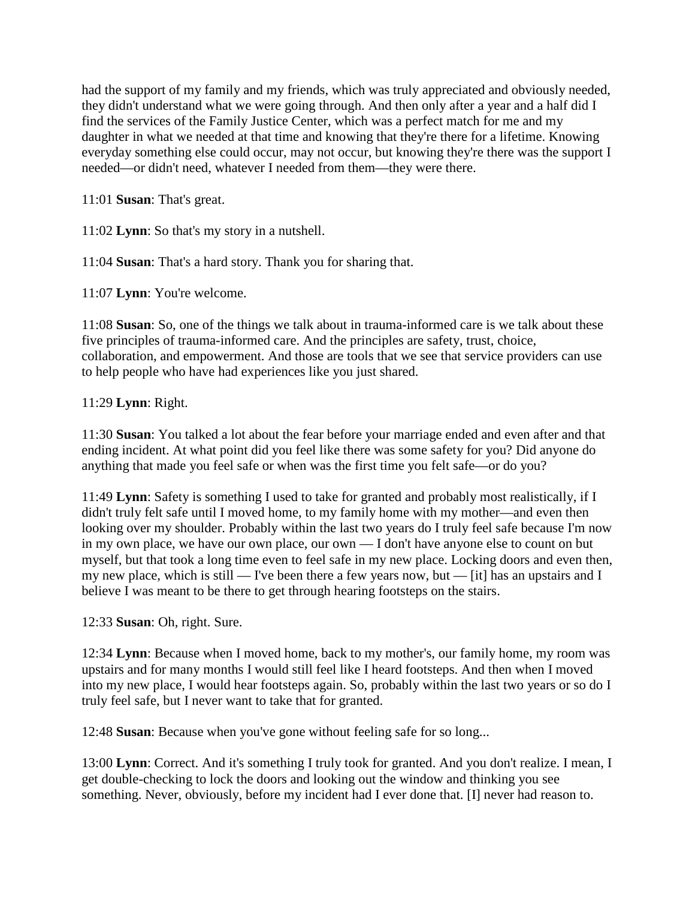had the support of my family and my friends, which was truly appreciated and obviously needed, they didn't understand what we were going through. And then only after a year and a half did I find the services of the Family Justice Center, which was a perfect match for me and my daughter in what we needed at that time and knowing that they're there for a lifetime. Knowing everyday something else could occur, may not occur, but knowing they're there was the support I needed—or didn't need, whatever I needed from them—they were there.

11:01 **Susan**: That's great.

11:02 **Lynn**: So that's my story in a nutshell.

11:04 **Susan**: That's a hard story. Thank you for sharing that.

11:07 **Lynn**: You're welcome.

11:08 **Susan**: So, one of the things we talk about in trauma-informed care is we talk about these five principles of trauma-informed care. And the principles are safety, trust, choice, collaboration, and empowerment. And those are tools that we see that service providers can use to help people who have had experiences like you just shared.

#### 11:29 **Lynn**: Right.

11:30 **Susan**: You talked a lot about the fear before your marriage ended and even after and that ending incident. At what point did you feel like there was some safety for you? Did anyone do anything that made you feel safe or when was the first time you felt safe—or do you?

11:49 **Lynn**: Safety is something I used to take for granted and probably most realistically, if I didn't truly felt safe until I moved home, to my family home with my mother—and even then looking over my shoulder. Probably within the last two years do I truly feel safe because I'm now in my own place, we have our own place, our own — I don't have anyone else to count on but myself, but that took a long time even to feel safe in my new place. Locking doors and even then, my new place, which is still — I've been there a few years now, but — [it] has an upstairs and I believe I was meant to be there to get through hearing footsteps on the stairs.

12:33 **Susan**: Oh, right. Sure.

12:34 **Lynn**: Because when I moved home, back to my mother's, our family home, my room was upstairs and for many months I would still feel like I heard footsteps. And then when I moved into my new place, I would hear footsteps again. So, probably within the last two years or so do I truly feel safe, but I never want to take that for granted.

12:48 **Susan**: Because when you've gone without feeling safe for so long...

13:00 **Lynn**: Correct. And it's something I truly took for granted. And you don't realize. I mean, I get double-checking to lock the doors and looking out the window and thinking you see something. Never, obviously, before my incident had I ever done that. [I] never had reason to.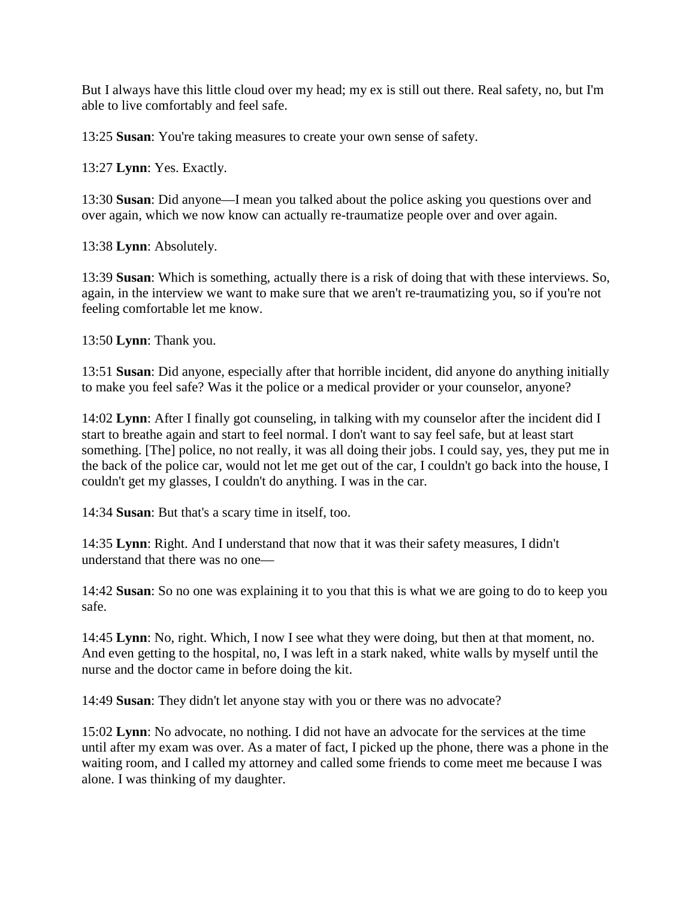But I always have this little cloud over my head; my ex is still out there. Real safety, no, but I'm able to live comfortably and feel safe.

13:25 **Susan**: You're taking measures to create your own sense of safety.

13:27 **Lynn**: Yes. Exactly.

13:30 **Susan**: Did anyone—I mean you talked about the police asking you questions over and over again, which we now know can actually re-traumatize people over and over again.

13:38 **Lynn**: Absolutely.

13:39 **Susan**: Which is something, actually there is a risk of doing that with these interviews. So, again, in the interview we want to make sure that we aren't re-traumatizing you, so if you're not feeling comfortable let me know.

13:50 **Lynn**: Thank you.

13:51 **Susan**: Did anyone, especially after that horrible incident, did anyone do anything initially to make you feel safe? Was it the police or a medical provider or your counselor, anyone?

14:02 **Lynn**: After I finally got counseling, in talking with my counselor after the incident did I start to breathe again and start to feel normal. I don't want to say feel safe, but at least start something. [The] police, no not really, it was all doing their jobs. I could say, yes, they put me in the back of the police car, would not let me get out of the car, I couldn't go back into the house, I couldn't get my glasses, I couldn't do anything. I was in the car.

14:34 **Susan**: But that's a scary time in itself, too.

14:35 **Lynn**: Right. And I understand that now that it was their safety measures, I didn't understand that there was no one—

14:42 **Susan**: So no one was explaining it to you that this is what we are going to do to keep you safe.

14:45 **Lynn**: No, right. Which, I now I see what they were doing, but then at that moment, no. And even getting to the hospital, no, I was left in a stark naked, white walls by myself until the nurse and the doctor came in before doing the kit.

14:49 **Susan**: They didn't let anyone stay with you or there was no advocate?

15:02 **Lynn**: No advocate, no nothing. I did not have an advocate for the services at the time until after my exam was over. As a mater of fact, I picked up the phone, there was a phone in the waiting room, and I called my attorney and called some friends to come meet me because I was alone. I was thinking of my daughter.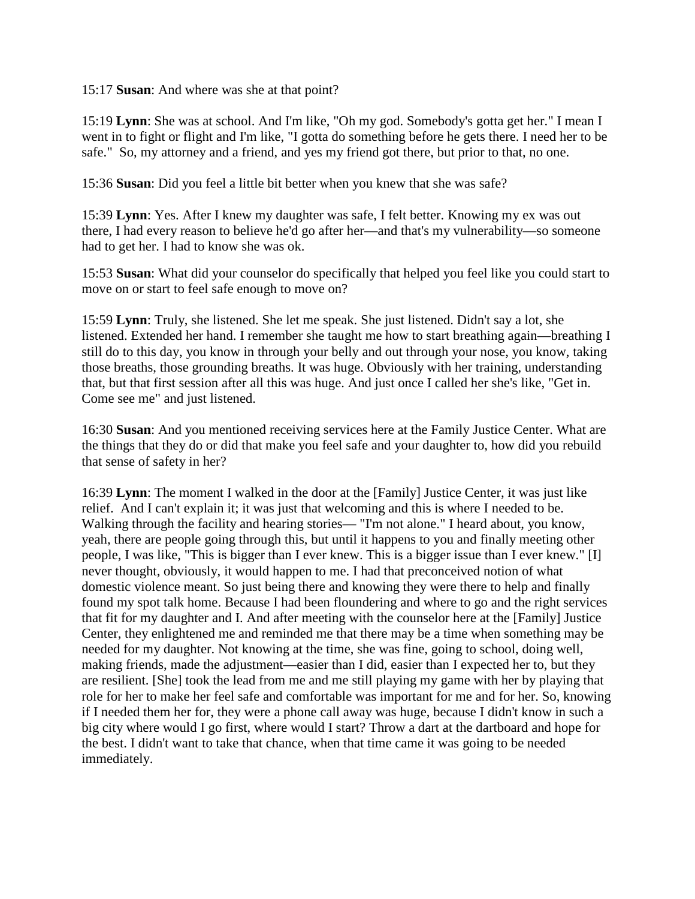15:17 **Susan**: And where was she at that point?

15:19 **Lynn**: She was at school. And I'm like, "Oh my god. Somebody's gotta get her." I mean I went in to fight or flight and I'm like, "I gotta do something before he gets there. I need her to be safe." So, my attorney and a friend, and yes my friend got there, but prior to that, no one.

15:36 **Susan**: Did you feel a little bit better when you knew that she was safe?

15:39 **Lynn**: Yes. After I knew my daughter was safe, I felt better. Knowing my ex was out there, I had every reason to believe he'd go after her—and that's my vulnerability—so someone had to get her. I had to know she was ok.

15:53 **Susan**: What did your counselor do specifically that helped you feel like you could start to move on or start to feel safe enough to move on?

15:59 **Lynn**: Truly, she listened. She let me speak. She just listened. Didn't say a lot, she listened. Extended her hand. I remember she taught me how to start breathing again—breathing I still do to this day, you know in through your belly and out through your nose, you know, taking those breaths, those grounding breaths. It was huge. Obviously with her training, understanding that, but that first session after all this was huge. And just once I called her she's like, "Get in. Come see me" and just listened.

16:30 **Susan**: And you mentioned receiving services here at the Family Justice Center. What are the things that they do or did that make you feel safe and your daughter to, how did you rebuild that sense of safety in her?

16:39 **Lynn**: The moment I walked in the door at the [Family] Justice Center, it was just like relief. And I can't explain it; it was just that welcoming and this is where I needed to be. Walking through the facility and hearing stories— "I'm not alone." I heard about, you know, yeah, there are people going through this, but until it happens to you and finally meeting other people, I was like, "This is bigger than I ever knew. This is a bigger issue than I ever knew." [I] never thought, obviously, it would happen to me. I had that preconceived notion of what domestic violence meant. So just being there and knowing they were there to help and finally found my spot talk home. Because I had been floundering and where to go and the right services that fit for my daughter and I. And after meeting with the counselor here at the [Family] Justice Center, they enlightened me and reminded me that there may be a time when something may be needed for my daughter. Not knowing at the time, she was fine, going to school, doing well, making friends, made the adjustment—easier than I did, easier than I expected her to, but they are resilient. [She] took the lead from me and me still playing my game with her by playing that role for her to make her feel safe and comfortable was important for me and for her. So, knowing if I needed them her for, they were a phone call away was huge, because I didn't know in such a big city where would I go first, where would I start? Throw a dart at the dartboard and hope for the best. I didn't want to take that chance, when that time came it was going to be needed immediately.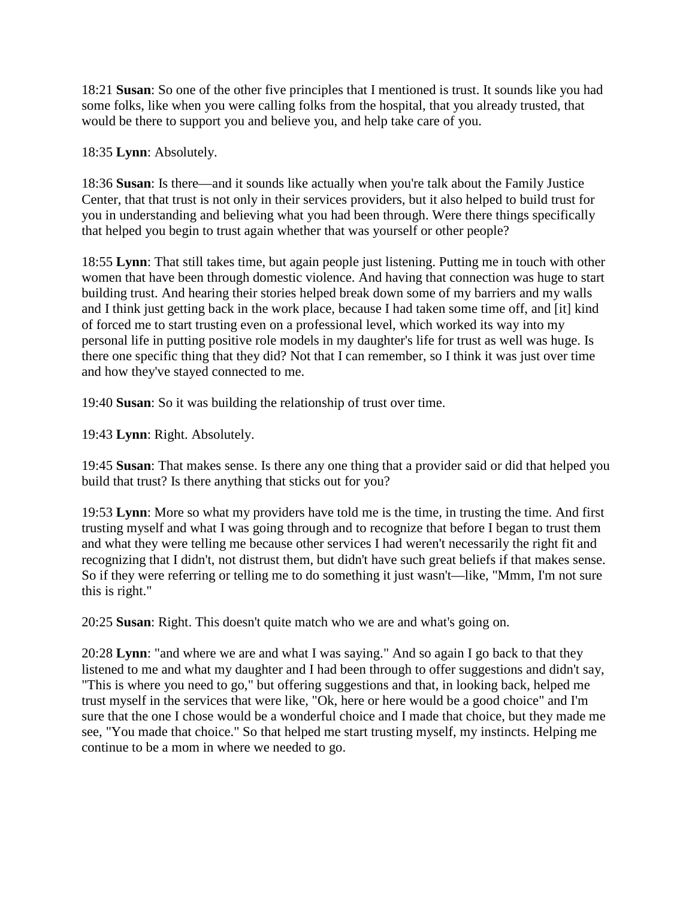18:21 **Susan**: So one of the other five principles that I mentioned is trust. It sounds like you had some folks, like when you were calling folks from the hospital, that you already trusted, that would be there to support you and believe you, and help take care of you.

18:35 **Lynn**: Absolutely.

18:36 **Susan**: Is there—and it sounds like actually when you're talk about the Family Justice Center, that that trust is not only in their services providers, but it also helped to build trust for you in understanding and believing what you had been through. Were there things specifically that helped you begin to trust again whether that was yourself or other people?

18:55 **Lynn**: That still takes time, but again people just listening. Putting me in touch with other women that have been through domestic violence. And having that connection was huge to start building trust. And hearing their stories helped break down some of my barriers and my walls and I think just getting back in the work place, because I had taken some time off, and [it] kind of forced me to start trusting even on a professional level, which worked its way into my personal life in putting positive role models in my daughter's life for trust as well was huge. Is there one specific thing that they did? Not that I can remember, so I think it was just over time and how they've stayed connected to me.

19:40 **Susan**: So it was building the relationship of trust over time.

19:43 **Lynn**: Right. Absolutely.

19:45 **Susan**: That makes sense. Is there any one thing that a provider said or did that helped you build that trust? Is there anything that sticks out for you?

19:53 **Lynn**: More so what my providers have told me is the time, in trusting the time. And first trusting myself and what I was going through and to recognize that before I began to trust them and what they were telling me because other services I had weren't necessarily the right fit and recognizing that I didn't, not distrust them, but didn't have such great beliefs if that makes sense. So if they were referring or telling me to do something it just wasn't—like, "Mmm, I'm not sure this is right."

20:25 **Susan**: Right. This doesn't quite match who we are and what's going on.

20:28 **Lynn**: "and where we are and what I was saying." And so again I go back to that they listened to me and what my daughter and I had been through to offer suggestions and didn't say, "This is where you need to go," but offering suggestions and that, in looking back, helped me trust myself in the services that were like, "Ok, here or here would be a good choice" and I'm sure that the one I chose would be a wonderful choice and I made that choice, but they made me see, "You made that choice." So that helped me start trusting myself, my instincts. Helping me continue to be a mom in where we needed to go.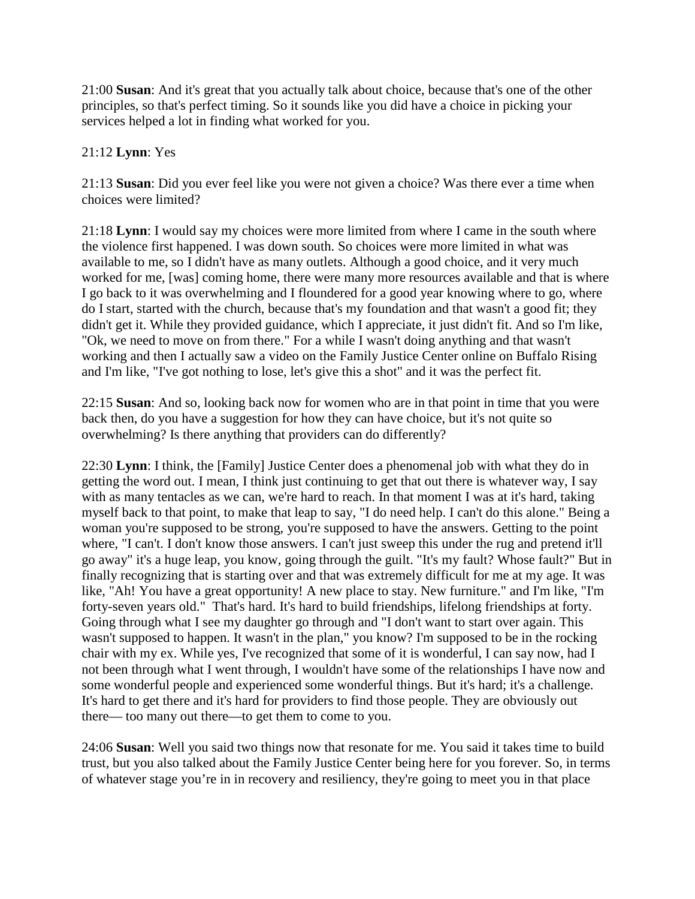21:00 **Susan**: And it's great that you actually talk about choice, because that's one of the other principles, so that's perfect timing. So it sounds like you did have a choice in picking your services helped a lot in finding what worked for you.

## 21:12 **Lynn**: Yes

21:13 **Susan**: Did you ever feel like you were not given a choice? Was there ever a time when choices were limited?

21:18 **Lynn**: I would say my choices were more limited from where I came in the south where the violence first happened. I was down south. So choices were more limited in what was available to me, so I didn't have as many outlets. Although a good choice, and it very much worked for me, [was] coming home, there were many more resources available and that is where I go back to it was overwhelming and I floundered for a good year knowing where to go, where do I start, started with the church, because that's my foundation and that wasn't a good fit; they didn't get it. While they provided guidance, which I appreciate, it just didn't fit. And so I'm like, "Ok, we need to move on from there." For a while I wasn't doing anything and that wasn't working and then I actually saw a video on the Family Justice Center online on Buffalo Rising and I'm like, "I've got nothing to lose, let's give this a shot" and it was the perfect fit.

22:15 **Susan**: And so, looking back now for women who are in that point in time that you were back then, do you have a suggestion for how they can have choice, but it's not quite so overwhelming? Is there anything that providers can do differently?

22:30 **Lynn**: I think, the [Family] Justice Center does a phenomenal job with what they do in getting the word out. I mean, I think just continuing to get that out there is whatever way, I say with as many tentacles as we can, we're hard to reach. In that moment I was at it's hard, taking myself back to that point, to make that leap to say, "I do need help. I can't do this alone." Being a woman you're supposed to be strong, you're supposed to have the answers. Getting to the point where, "I can't. I don't know those answers. I can't just sweep this under the rug and pretend it'll go away" it's a huge leap, you know, going through the guilt. "It's my fault? Whose fault?" But in finally recognizing that is starting over and that was extremely difficult for me at my age. It was like, "Ah! You have a great opportunity! A new place to stay. New furniture." and I'm like, "I'm forty-seven years old." That's hard. It's hard to build friendships, lifelong friendships at forty. Going through what I see my daughter go through and "I don't want to start over again. This wasn't supposed to happen. It wasn't in the plan," you know? I'm supposed to be in the rocking chair with my ex. While yes, I've recognized that some of it is wonderful, I can say now, had I not been through what I went through, I wouldn't have some of the relationships I have now and some wonderful people and experienced some wonderful things. But it's hard; it's a challenge. It's hard to get there and it's hard for providers to find those people. They are obviously out there— too many out there—to get them to come to you.

24:06 **Susan**: Well you said two things now that resonate for me. You said it takes time to build trust, but you also talked about the Family Justice Center being here for you forever. So, in terms of whatever stage you're in in recovery and resiliency, they're going to meet you in that place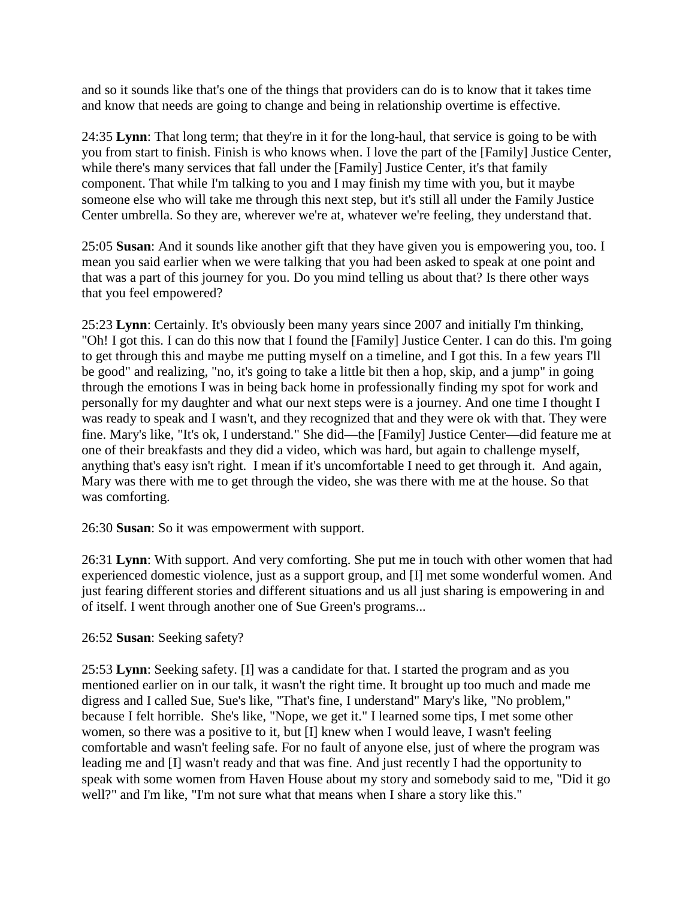and so it sounds like that's one of the things that providers can do is to know that it takes time and know that needs are going to change and being in relationship overtime is effective.

24:35 **Lynn**: That long term; that they're in it for the long-haul, that service is going to be with you from start to finish. Finish is who knows when. I love the part of the [Family] Justice Center, while there's many services that fall under the [Family] Justice Center, it's that family component. That while I'm talking to you and I may finish my time with you, but it maybe someone else who will take me through this next step, but it's still all under the Family Justice Center umbrella. So they are, wherever we're at, whatever we're feeling, they understand that.

25:05 **Susan**: And it sounds like another gift that they have given you is empowering you, too. I mean you said earlier when we were talking that you had been asked to speak at one point and that was a part of this journey for you. Do you mind telling us about that? Is there other ways that you feel empowered?

25:23 **Lynn**: Certainly. It's obviously been many years since 2007 and initially I'm thinking, "Oh! I got this. I can do this now that I found the [Family] Justice Center. I can do this. I'm going to get through this and maybe me putting myself on a timeline, and I got this. In a few years I'll be good" and realizing, "no, it's going to take a little bit then a hop, skip, and a jump" in going through the emotions I was in being back home in professionally finding my spot for work and personally for my daughter and what our next steps were is a journey. And one time I thought I was ready to speak and I wasn't, and they recognized that and they were ok with that. They were fine. Mary's like, "It's ok, I understand." She did—the [Family] Justice Center—did feature me at one of their breakfasts and they did a video, which was hard, but again to challenge myself, anything that's easy isn't right. I mean if it's uncomfortable I need to get through it. And again, Mary was there with me to get through the video, she was there with me at the house. So that was comforting.

26:30 **Susan**: So it was empowerment with support.

26:31 **Lynn**: With support. And very comforting. She put me in touch with other women that had experienced domestic violence, just as a support group, and [I] met some wonderful women. And just fearing different stories and different situations and us all just sharing is empowering in and of itself. I went through another one of Sue Green's programs...

## 26:52 **Susan**: Seeking safety?

25:53 **Lynn**: Seeking safety. [I] was a candidate for that. I started the program and as you mentioned earlier on in our talk, it wasn't the right time. It brought up too much and made me digress and I called Sue, Sue's like, "That's fine, I understand" Mary's like, "No problem," because I felt horrible. She's like, "Nope, we get it." I learned some tips, I met some other women, so there was a positive to it, but [I] knew when I would leave, I wasn't feeling comfortable and wasn't feeling safe. For no fault of anyone else, just of where the program was leading me and [I] wasn't ready and that was fine. And just recently I had the opportunity to speak with some women from Haven House about my story and somebody said to me, "Did it go well?" and I'm like, "I'm not sure what that means when I share a story like this."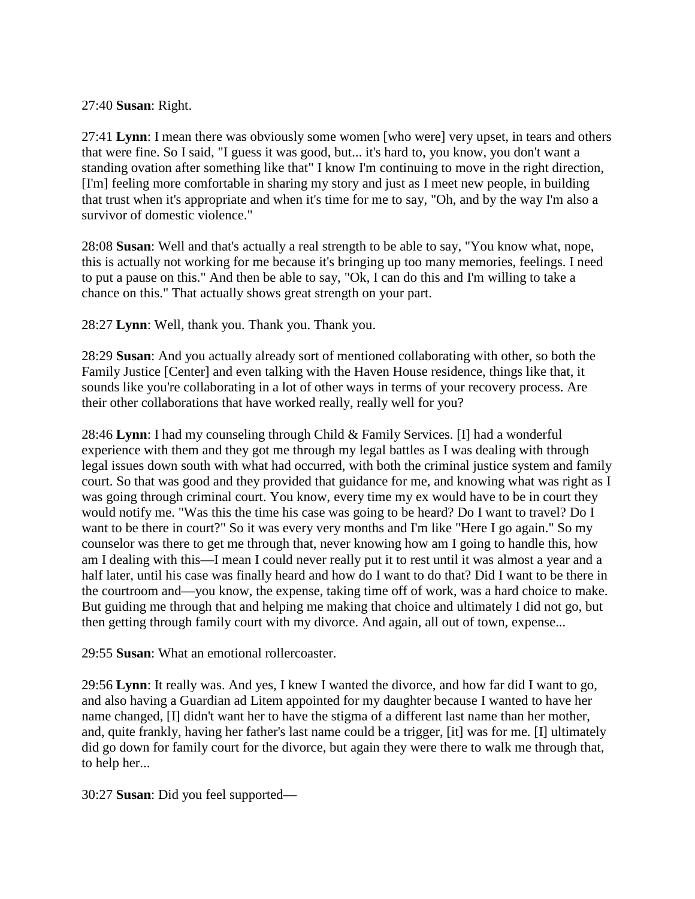#### 27:40 **Susan**: Right.

27:41 **Lynn**: I mean there was obviously some women [who were] very upset, in tears and others that were fine. So I said, "I guess it was good, but... it's hard to, you know, you don't want a standing ovation after something like that" I know I'm continuing to move in the right direction, [I'm] feeling more comfortable in sharing my story and just as I meet new people, in building that trust when it's appropriate and when it's time for me to say, "Oh, and by the way I'm also a survivor of domestic violence."

28:08 **Susan**: Well and that's actually a real strength to be able to say, "You know what, nope, this is actually not working for me because it's bringing up too many memories, feelings. I need to put a pause on this." And then be able to say, "Ok, I can do this and I'm willing to take a chance on this." That actually shows great strength on your part.

28:27 **Lynn**: Well, thank you. Thank you. Thank you.

28:29 **Susan**: And you actually already sort of mentioned collaborating with other, so both the Family Justice [Center] and even talking with the Haven House residence, things like that, it sounds like you're collaborating in a lot of other ways in terms of your recovery process. Are their other collaborations that have worked really, really well for you?

28:46 **Lynn**: I had my counseling through Child & Family Services. [I] had a wonderful experience with them and they got me through my legal battles as I was dealing with through legal issues down south with what had occurred, with both the criminal justice system and family court. So that was good and they provided that guidance for me, and knowing what was right as I was going through criminal court. You know, every time my ex would have to be in court they would notify me. "Was this the time his case was going to be heard? Do I want to travel? Do I want to be there in court?" So it was every very months and I'm like "Here I go again." So my counselor was there to get me through that, never knowing how am I going to handle this, how am I dealing with this—I mean I could never really put it to rest until it was almost a year and a half later, until his case was finally heard and how do I want to do that? Did I want to be there in the courtroom and—you know, the expense, taking time off of work, was a hard choice to make. But guiding me through that and helping me making that choice and ultimately I did not go, but then getting through family court with my divorce. And again, all out of town, expense...

29:55 **Susan**: What an emotional rollercoaster.

29:56 **Lynn**: It really was. And yes, I knew I wanted the divorce, and how far did I want to go, and also having a Guardian ad Litem appointed for my daughter because I wanted to have her name changed, [I] didn't want her to have the stigma of a different last name than her mother, and, quite frankly, having her father's last name could be a trigger, [it] was for me. [I] ultimately did go down for family court for the divorce, but again they were there to walk me through that, to help her...

30:27 **Susan**: Did you feel supported—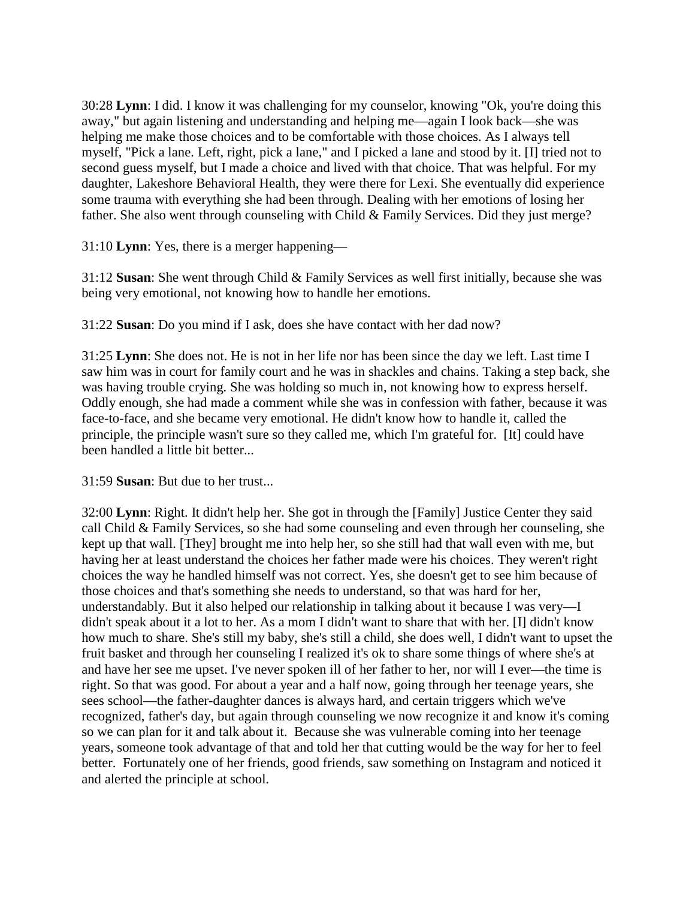30:28 **Lynn**: I did. I know it was challenging for my counselor, knowing "Ok, you're doing this away," but again listening and understanding and helping me—again I look back—she was helping me make those choices and to be comfortable with those choices. As I always tell myself, "Pick a lane. Left, right, pick a lane," and I picked a lane and stood by it. [I] tried not to second guess myself, but I made a choice and lived with that choice. That was helpful. For my daughter, Lakeshore Behavioral Health, they were there for Lexi. She eventually did experience some trauma with everything she had been through. Dealing with her emotions of losing her father. She also went through counseling with Child & Family Services. Did they just merge?

31:10 **Lynn**: Yes, there is a merger happening—

31:12 **Susan**: She went through Child & Family Services as well first initially, because she was being very emotional, not knowing how to handle her emotions.

31:22 **Susan**: Do you mind if I ask, does she have contact with her dad now?

31:25 **Lynn**: She does not. He is not in her life nor has been since the day we left. Last time I saw him was in court for family court and he was in shackles and chains. Taking a step back, she was having trouble crying. She was holding so much in, not knowing how to express herself. Oddly enough, she had made a comment while she was in confession with father, because it was face-to-face, and she became very emotional. He didn't know how to handle it, called the principle, the principle wasn't sure so they called me, which I'm grateful for. [It] could have been handled a little bit better...

31:59 **Susan**: But due to her trust...

32:00 **Lynn**: Right. It didn't help her. She got in through the [Family] Justice Center they said call Child & Family Services, so she had some counseling and even through her counseling, she kept up that wall. [They] brought me into help her, so she still had that wall even with me, but having her at least understand the choices her father made were his choices. They weren't right choices the way he handled himself was not correct. Yes, she doesn't get to see him because of those choices and that's something she needs to understand, so that was hard for her, understandably. But it also helped our relationship in talking about it because I was very—I didn't speak about it a lot to her. As a mom I didn't want to share that with her. [I] didn't know how much to share. She's still my baby, she's still a child, she does well, I didn't want to upset the fruit basket and through her counseling I realized it's ok to share some things of where she's at and have her see me upset. I've never spoken ill of her father to her, nor will I ever—the time is right. So that was good. For about a year and a half now, going through her teenage years, she sees school—the father-daughter dances is always hard, and certain triggers which we've recognized, father's day, but again through counseling we now recognize it and know it's coming so we can plan for it and talk about it. Because she was vulnerable coming into her teenage years, someone took advantage of that and told her that cutting would be the way for her to feel better. Fortunately one of her friends, good friends, saw something on Instagram and noticed it and alerted the principle at school.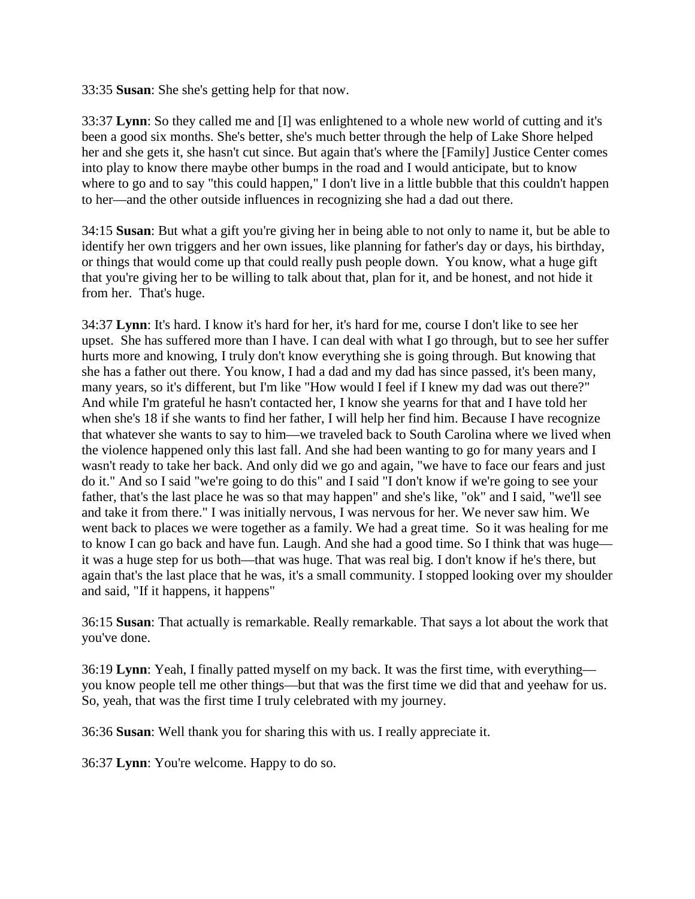33:35 **Susan**: She she's getting help for that now.

33:37 **Lynn**: So they called me and [I] was enlightened to a whole new world of cutting and it's been a good six months. She's better, she's much better through the help of Lake Shore helped her and she gets it, she hasn't cut since. But again that's where the [Family] Justice Center comes into play to know there maybe other bumps in the road and I would anticipate, but to know where to go and to say "this could happen," I don't live in a little bubble that this couldn't happen to her—and the other outside influences in recognizing she had a dad out there.

34:15 **Susan**: But what a gift you're giving her in being able to not only to name it, but be able to identify her own triggers and her own issues, like planning for father's day or days, his birthday, or things that would come up that could really push people down. You know, what a huge gift that you're giving her to be willing to talk about that, plan for it, and be honest, and not hide it from her. That's huge.

34:37 **Lynn**: It's hard. I know it's hard for her, it's hard for me, course I don't like to see her upset. She has suffered more than I have. I can deal with what I go through, but to see her suffer hurts more and knowing, I truly don't know everything she is going through. But knowing that she has a father out there. You know, I had a dad and my dad has since passed, it's been many, many years, so it's different, but I'm like "How would I feel if I knew my dad was out there?" And while I'm grateful he hasn't contacted her, I know she yearns for that and I have told her when she's 18 if she wants to find her father, I will help her find him. Because I have recognize that whatever she wants to say to him—we traveled back to South Carolina where we lived when the violence happened only this last fall. And she had been wanting to go for many years and I wasn't ready to take her back. And only did we go and again, "we have to face our fears and just do it." And so I said "we're going to do this" and I said "I don't know if we're going to see your father, that's the last place he was so that may happen" and she's like, "ok" and I said, "we'll see and take it from there." I was initially nervous, I was nervous for her. We never saw him. We went back to places we were together as a family. We had a great time. So it was healing for me to know I can go back and have fun. Laugh. And she had a good time. So I think that was huge it was a huge step for us both—that was huge. That was real big. I don't know if he's there, but again that's the last place that he was, it's a small community. I stopped looking over my shoulder and said, "If it happens, it happens"

36:15 **Susan**: That actually is remarkable. Really remarkable. That says a lot about the work that you've done.

36:19 **Lynn**: Yeah, I finally patted myself on my back. It was the first time, with everything you know people tell me other things—but that was the first time we did that and yeehaw for us. So, yeah, that was the first time I truly celebrated with my journey.

36:36 **Susan**: Well thank you for sharing this with us. I really appreciate it.

36:37 **Lynn**: You're welcome. Happy to do so.